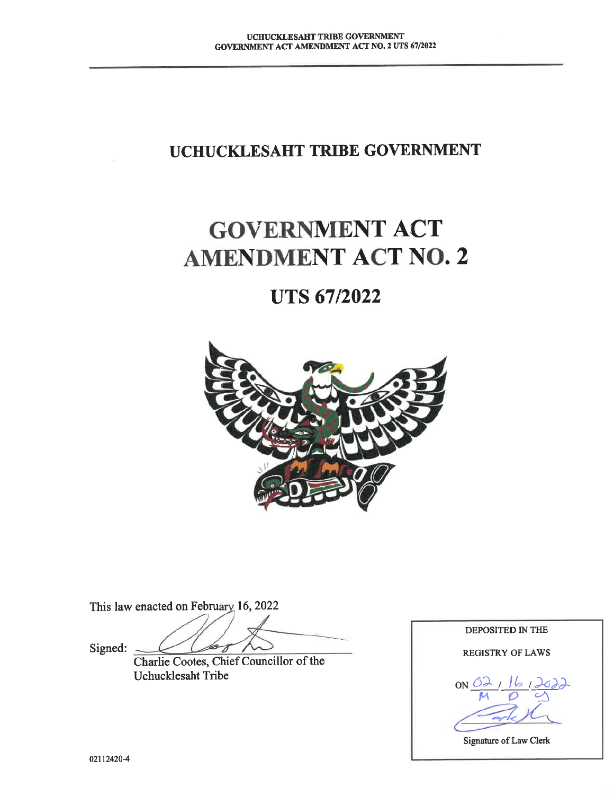# UCHUCKLESAHT TRIBE GOVERNMENT

# **GOVERNMENT ACT AMENDMENT ACT NO. 2**

UTS 67/2022



This law enacted on February 16, 2022

Signed:

Charlie Cootes, Chief Councillor of the Uchucklesaht Tribe

DEPOSITED IN THE REGISTRY OF LAWS ON 02/16/2022  $M$   $O$   $O$ .<br>h Signature of Law Clerk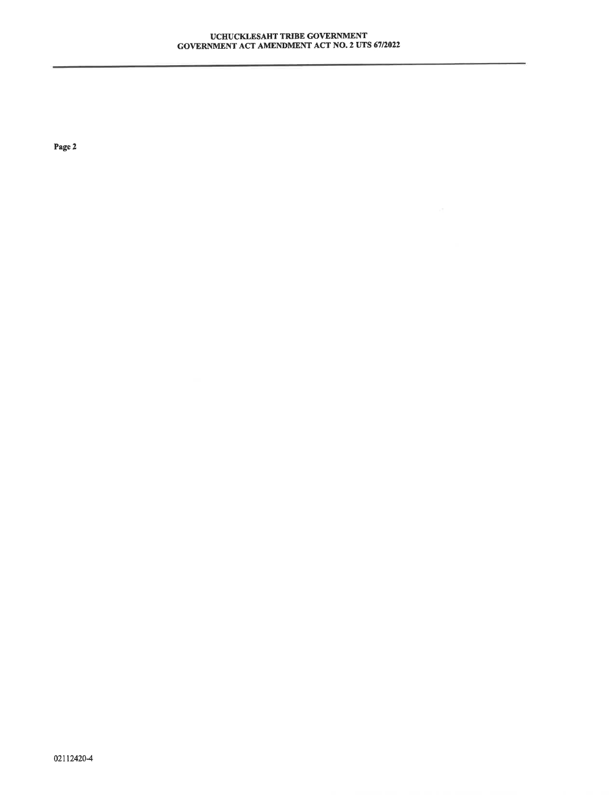#### UCHUCKLESAHT TRIBE GOVERNMENT GOVERNMENT ACT AMENDMENT ACT NO. 2 UTS 67/2022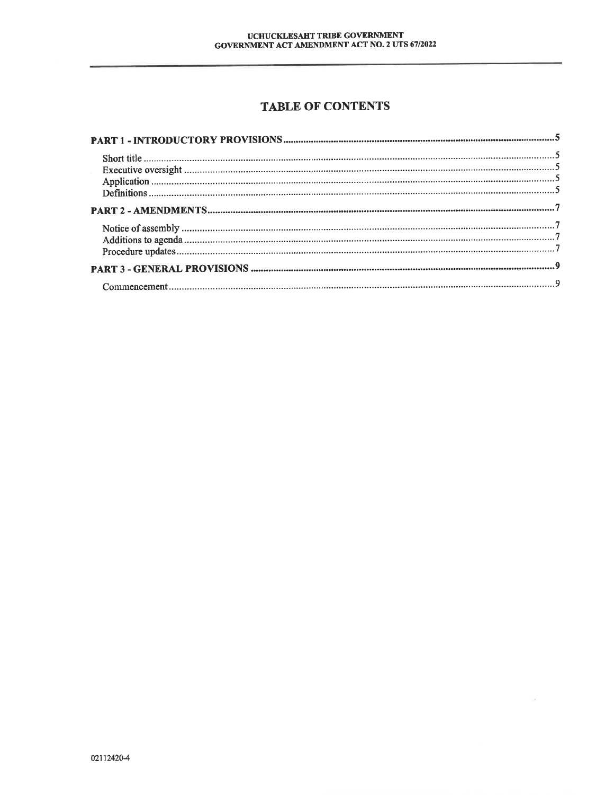# **TABLE OF CONTENTS**

 $\mathcal{C}^{\mathcal{A}}_{\mathcal{A}}$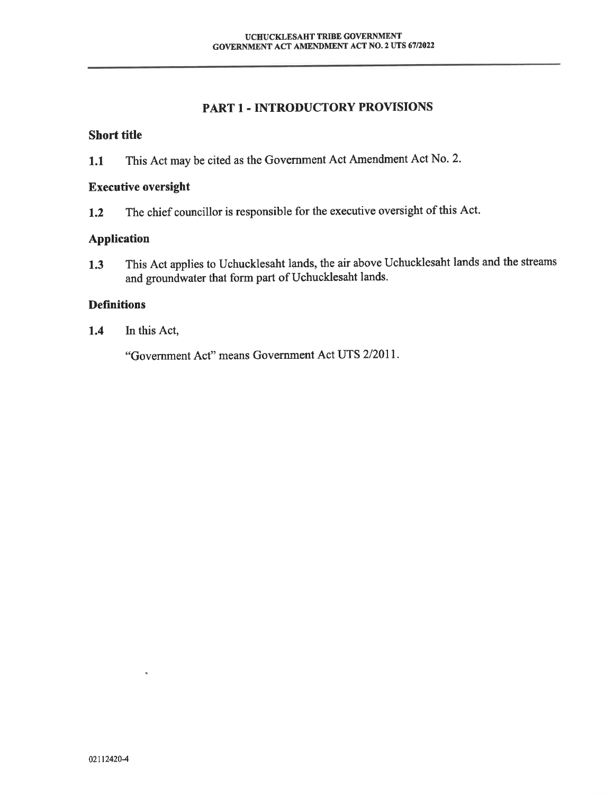# PART 1 - INTRODUCTORY PROVISIONS

#### Short title

1.1 This Act may be cited as the Government Act Amendment Act No. 2.

### Executive oversight

1.2 The chief councillor is responsible for the executive oversight of this Act.

#### Application

1.3 This Act applies to Uchucklesaht lands, the air above Uchucklesaht lands and the streams and groundwater that form part of Uchucklesaht lands.

#### **Definitions**

1.4 In this Act,

"Government Act" means Government Act UTS 2/2011.

 $\ddot{\phantom{a}}$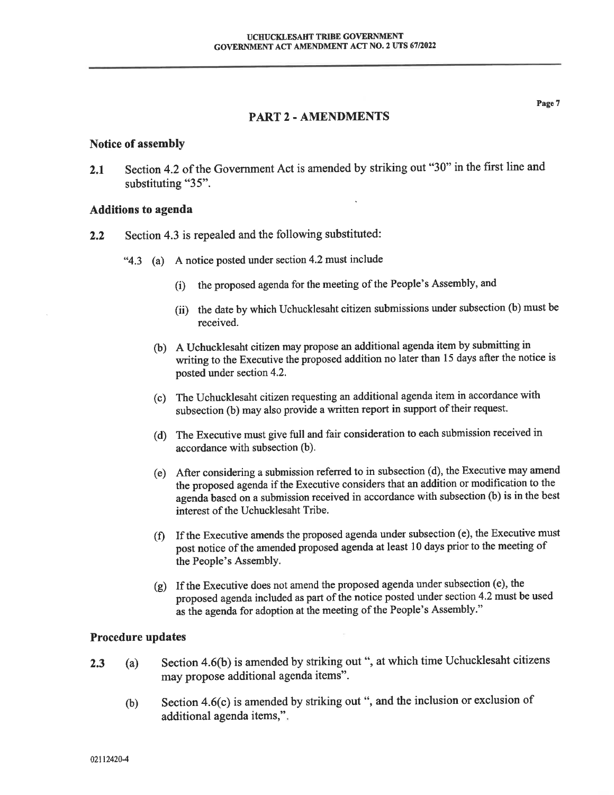# PART 2 - AMENDMENTS

#### Notice of assembly

2.1 Section 4.2 of the Government Act is amended by striking out "30" in the first line and substituting "35".

#### Additions to agenda

- 2.2 Section 4.3 is repealed and the following substituted:
	- "4.3 (a) A notice posted under section 4.2 must include
		- (i) the proposed agenda for the meeting of the People's Assembly, and
		- (ii) the date by which Uchucklesaht citizen submissions under subsection (b) must be received.
		- (b) A Uchucklesaht citizen may propose an additional agenda item by submitting in writing to the Executive the proposed addition no later than 15 days after the notice is posted under section 4.2.
		- (c) The Uchucklesaht citizen requesting an additional agenda item in accordance with subsection (b) may also provide a written report in support of their request.
		- (d) The Executive must give full and fair consideration to each submission received in accordance with subsection (b).
		- (e) After considering a submission referred to in subsection (d), the Executive may amend the proposed agenda if the Executive considers that an addition or modification to the agenda based on a submission received in accordance with subsection (b) is in the best interest of the Uchucklesaht Tribe.
		- (f) If the Executive amends the proposed agenda under subsection (e), the Executive must post notice of the amended proposed agenda at least 10 days prior to the meeting of the People's Assembly.
		- (g) If the Executive does not amend the proposed agenda under subsection (e), the proposed agenda included as part of the notice posted under section 4.2 must be used as the agenda for adoption at the meeting of the People's Assembly."

#### Procedure updates

- 2.3 (a) Section 4.6(b) is amended by striking out ", at which time Uchucklesaht citizens may propose additional agenda items".
	- (b) Section 4. 6(c) is amended by striking out ", and the inclusion or exclusion of additional agenda items,"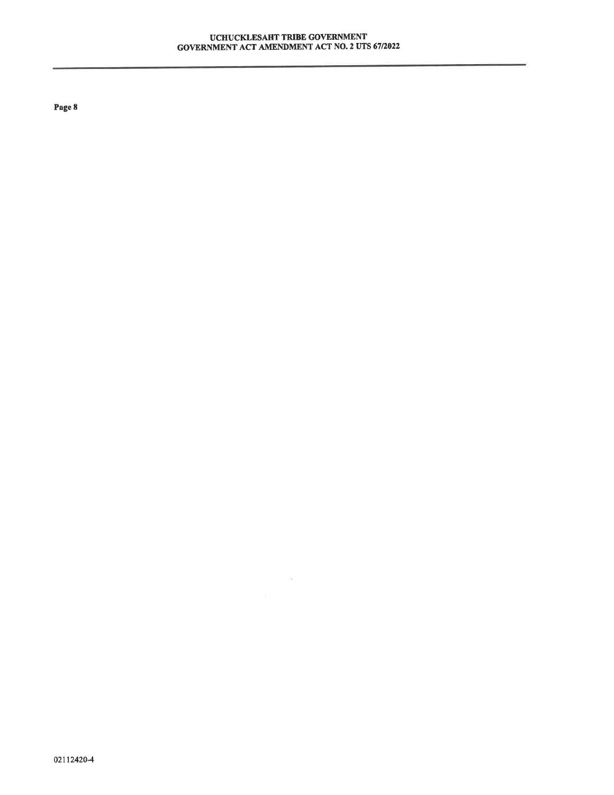$\sim$   $\sim$